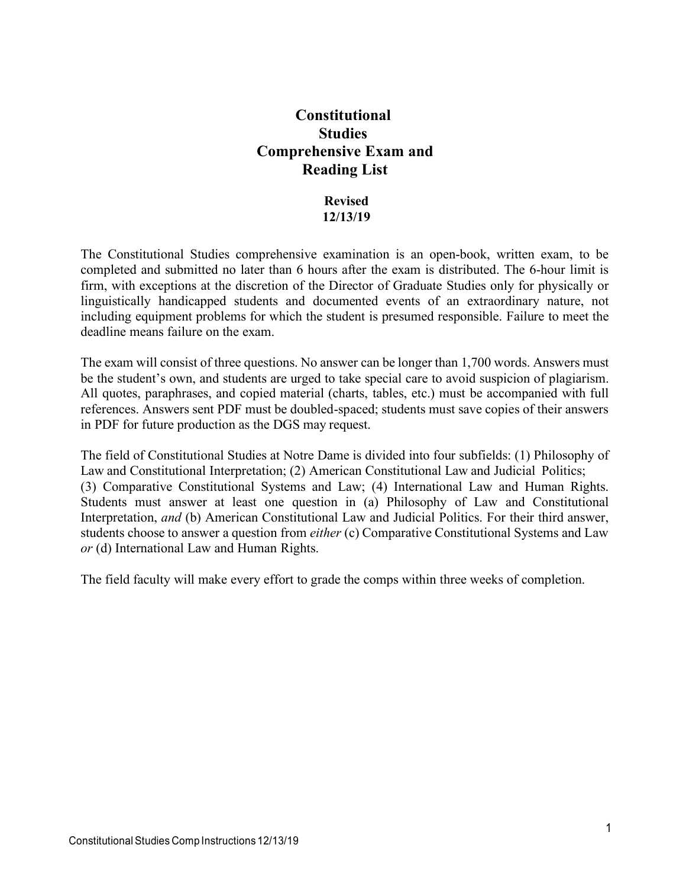# **Constitutional Studies Comprehensive Exam and Reading List**

#### **Revised 12/13/19**

The Constitutional Studies comprehensive examination is an open-book, written exam, to be completed and submitted no later than 6 hours after the exam is distributed. The 6-hour limit is firm, with exceptions at the discretion of the Director of Graduate Studies only for physically or linguistically handicapped students and documented events of an extraordinary nature, not including equipment problems for which the student is presumed responsible. Failure to meet the deadline means failure on the exam.

The exam will consist of three questions. No answer can be longer than 1,700 words. Answers must be the student's own, and students are urged to take special care to avoid suspicion of plagiarism. All quotes, paraphrases, and copied material (charts, tables, etc.) must be accompanied with full references. Answers sent PDF must be doubled-spaced; students must save copies of their answers in PDF for future production as the DGS may request.

The field of Constitutional Studies at Notre Dame is divided into four subfields: (1) Philosophy of Law and Constitutional Interpretation; (2) American Constitutional Law and Judicial Politics; (3) Comparative Constitutional Systems and Law; (4) International Law and Human Rights. Students must answer at least one question in (a) Philosophy of Law and Constitutional Interpretation, *and* (b) American Constitutional Law and Judicial Politics. For their third answer, students choose to answer a question from *either* (c) Comparative Constitutional Systems and Law *or* (d) International Law and Human Rights.

The field faculty will make every effort to grade the comps within three weeks of completion.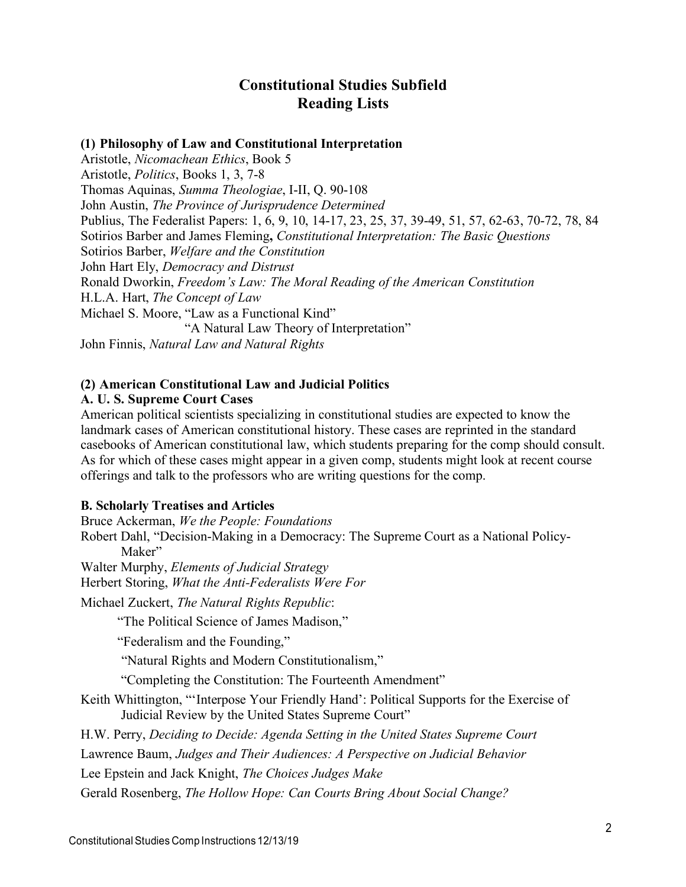## **Constitutional Studies Subfield Reading Lists**

## **(1) Philosophy of Law and Constitutional Interpretation**

Aristotle, *Nicomachean Ethics*, Book 5 Aristotle, *Politics*, Books 1, 3, 7-8 Thomas Aquinas, *Summa Theologiae*, I-II, Q. 90-108 John Austin, *The Province of Jurisprudence Determined* Publius, The Federalist Papers: 1, 6, 9, 10, 14-17, 23, 25, 37, 39-49, 51, 57, 62-63, 70-72, 78, 84 Sotirios Barber and James Fleming**,** *Constitutional Interpretation: The Basic Questions* Sotirios Barber, *Welfare and the Constitution* John Hart Ely, *Democracy and Distrust* Ronald Dworkin, *Freedom's Law: The Moral Reading of the American Constitution* H.L.A. Hart, *The Concept of Law* Michael S. Moore, "Law as a Functional Kind" "A Natural Law Theory of Interpretation" John Finnis, *Natural Law and Natural Rights*

## **(2) American Constitutional Law and Judicial Politics**

#### **A. U. S. Supreme Court Cases**

American political scientists specializing in constitutional studies are expected to know the landmark cases of American constitutional history. These cases are reprinted in the standard casebooks of American constitutional law, which students preparing for the comp should consult. As for which of these cases might appear in a given comp, students might look at recent course offerings and talk to the professors who are writing questions for the comp.

#### **B. Scholarly Treatises and Articles**

Bruce Ackerman, *We the People: Foundations*

Robert Dahl, "Decision-Making in a Democracy: The Supreme Court as a National Policy-Maker"

Walter Murphy, *Elements of Judicial Strategy*

Herbert Storing, *What the Anti-Federalists Were For*

Michael Zuckert, *The Natural Rights Republic*:

"The Political Science of James Madison,"

"Federalism and the Founding,"

"Natural Rights and Modern Constitutionalism,"

"Completing the Constitution: The Fourteenth Amendment"

Keith Whittington, "'Interpose Your Friendly Hand': Political Supports for the Exercise of Judicial Review by the United States Supreme Court"

H.W. Perry, *Deciding to Decide: Agenda Setting in the United States Supreme Court* 

Lawrence Baum, *Judges and Their Audiences: A Perspective on Judicial Behavior* 

Lee Epstein and Jack Knight, *The Choices Judges Make*

Gerald Rosenberg, *The Hollow Hope: Can Courts Bring About Social Change?*